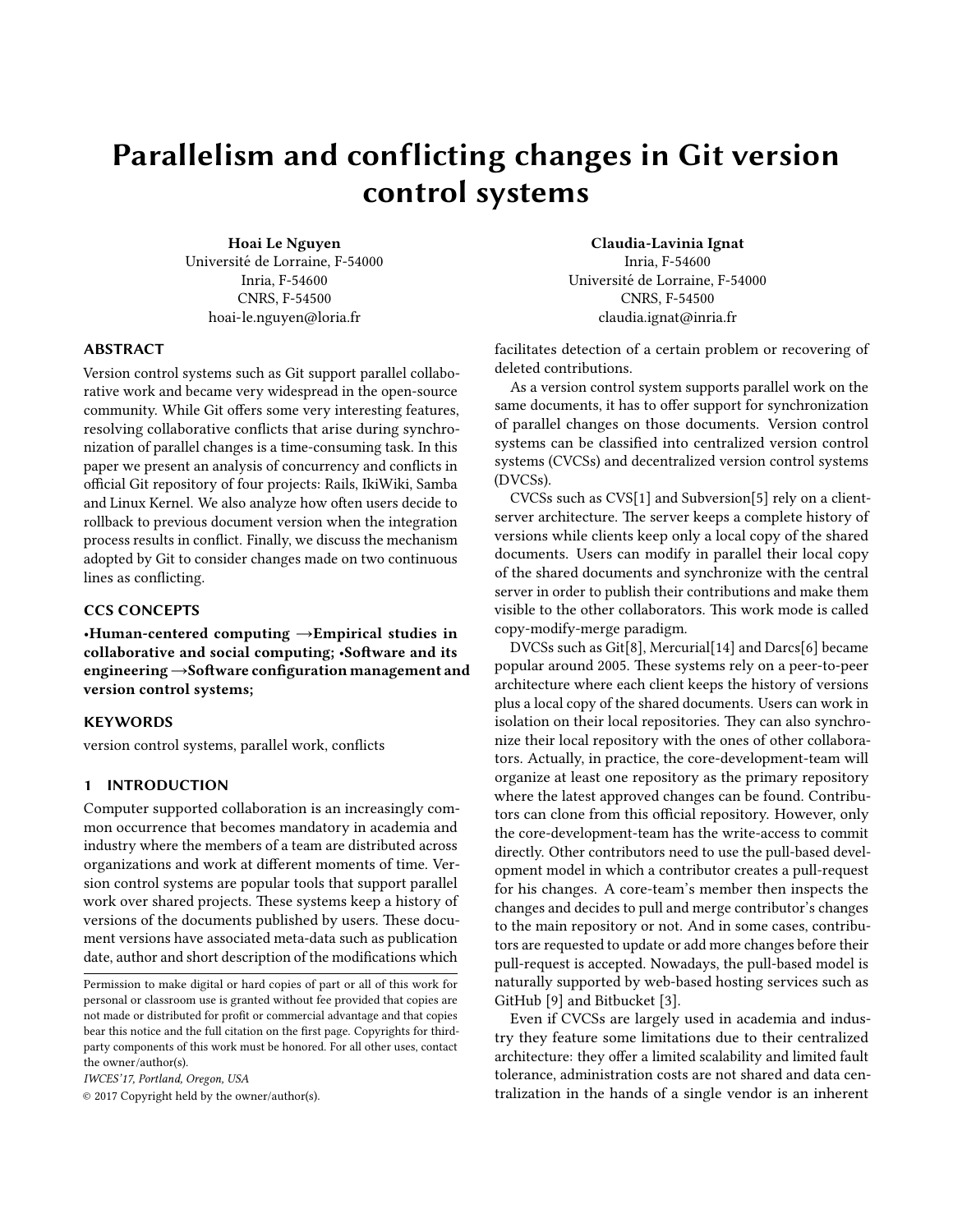# Parallelism and conflicting changes in Git version control systems

Hoai Le Nguyen Universite de Lorraine, F-54000 ´ Inria, F-54600 CNRS, F-54500 hoai-le.nguyen@loria.fr

# ABSTRACT

Version control systems such as Git support parallel collaborative work and became very widespread in the open-source community. While Git offers some very interesting features, resolving collaborative conflicts that arise during synchronization of parallel changes is a time-consuming task. In this paper we present an analysis of concurrency and conflicts in official Git repository of four projects: Rails, IkiWiki, Samba and Linux Kernel. We also analyze how often users decide to rollback to previous document version when the integration process results in conflict. Finally, we discuss the mechanism adopted by Git to consider changes made on two continuous lines as conflicting.

# CCS CONCEPTS

•Human-centered computing →Empirical studies in collaborative and social computing; •Software and its engineering →Software configuration management and version control systems;

# **KEYWORDS**

version control systems, parallel work, conflicts

# 1 INTRODUCTION

Computer supported collaboration is an increasingly common occurrence that becomes mandatory in academia and industry where the members of a team are distributed across organizations and work at different moments of time. Version control systems are popular tools that support parallel work over shared projects. These systems keep a history of versions of the documents published by users. These document versions have associated meta-data such as publication date, author and short description of the modifications which

IWCES'17, Portland, Oregon, USA

© 2017 Copyright held by the owner/author(s).

Claudia-Lavinia Ignat Inria, F-54600 Universite de Lorraine, F-54000 ´ CNRS, F-54500 claudia.ignat@inria.fr

facilitates detection of a certain problem or recovering of deleted contributions.

As a version control system supports parallel work on the same documents, it has to offer support for synchronization of parallel changes on those documents. Version control systems can be classified into centralized version control systems (CVCSs) and decentralized version control systems (DVCSs).

CVCSs such as CVS[\[1\]](#page-5-0) and Subversion[\[5\]](#page-5-1) rely on a clientserver architecture. The server keeps a complete history of versions while clients keep only a local copy of the shared documents. Users can modify in parallel their local copy of the shared documents and synchronize with the central server in order to publish their contributions and make them visible to the other collaborators. This work mode is called copy-modify-merge paradigm.

DVCSs such as Git[\[8\]](#page-5-2), Mercurial[\[14\]](#page-5-3) and Darcs[\[6\]](#page-5-4) became popular around 2005. These systems rely on a peer-to-peer architecture where each client keeps the history of versions plus a local copy of the shared documents. Users can work in isolation on their local repositories. They can also synchronize their local repository with the ones of other collaborators. Actually, in practice, the core-development-team will organize at least one repository as the primary repository where the latest approved changes can be found. Contributors can clone from this official repository. However, only the core-development-team has the write-access to commit directly. Other contributors need to use the pull-based development model in which a contributor creates a pull-request for his changes. A core-team's member then inspects the changes and decides to pull and merge contributor's changes to the main repository or not. And in some cases, contributors are requested to update or add more changes before their pull-request is accepted. Nowadays, the pull-based model is naturally supported by web-based hosting services such as GitHub [\[9\]](#page-5-5) and Bitbucket [\[3\]](#page-5-6).

Even if CVCSs are largely used in academia and industry they feature some limitations due to their centralized architecture: they offer a limited scalability and limited fault tolerance, administration costs are not shared and data centralization in the hands of a single vendor is an inherent

Permission to make digital or hard copies of part or all of this work for personal or classroom use is granted without fee provided that copies are not made or distributed for profit or commercial advantage and that copies bear this notice and the full citation on the first page. Copyrights for thirdparty components of this work must be honored. For all other uses, contact the owner/author(s).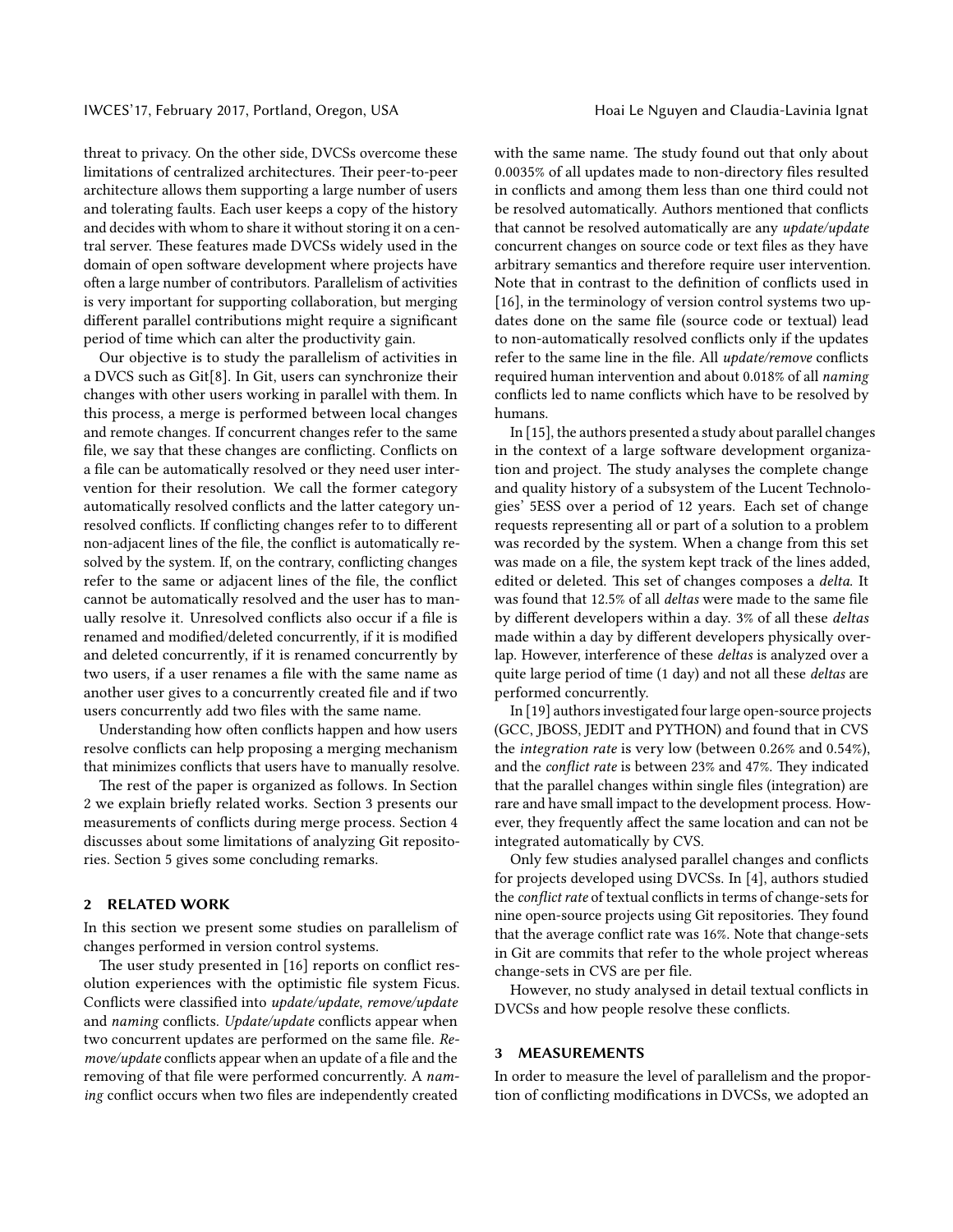threat to privacy. On the other side, DVCSs overcome these limitations of centralized architectures. Their peer-to-peer architecture allows them supporting a large number of users and tolerating faults. Each user keeps a copy of the history and decides with whom to share it without storing it on a central server. These features made DVCSs widely used in the domain of open software development where projects have often a large number of contributors. Parallelism of activities is very important for supporting collaboration, but merging different parallel contributions might require a significant period of time which can alter the productivity gain.

Our objective is to study the parallelism of activities in a DVCS such as Git[\[8\]](#page-5-2). In Git, users can synchronize their changes with other users working in parallel with them. In this process, a merge is performed between local changes and remote changes. If concurrent changes refer to the same file, we say that these changes are conflicting. Conflicts on a file can be automatically resolved or they need user intervention for their resolution. We call the former category automatically resolved conflicts and the latter category unresolved conflicts. If conflicting changes refer to to different non-adjacent lines of the file, the conflict is automatically resolved by the system. If, on the contrary, conflicting changes refer to the same or adjacent lines of the file, the conflict cannot be automatically resolved and the user has to manually resolve it. Unresolved conflicts also occur if a file is renamed and modified/deleted concurrently, if it is modified and deleted concurrently, if it is renamed concurrently by two users, if a user renames a file with the same name as another user gives to a concurrently created file and if two users concurrently add two files with the same name.

Understanding how often conflicts happen and how users resolve conflicts can help proposing a merging mechanism that minimizes conflicts that users have to manually resolve.

The rest of the paper is organized as follows. In Section 2 we explain briefly related works. Section 3 presents our measurements of conflicts during merge process. Section 4 discusses about some limitations of analyzing Git repositories. Section 5 gives some concluding remarks.

### 2 RELATED WORK

In this section we present some studies on parallelism of changes performed in version control systems.

The user study presented in [\[16\]](#page-5-7) reports on conflict resolution experiences with the optimistic file system Ficus. Conflicts were classified into update/update, remove/update and naming conflicts. Update/update conflicts appear when two concurrent updates are performed on the same file. Re $move/update$  conflicts appear when an update of a file and the removing of that file were performed concurrently. A naming conflict occurs when two files are independently created

with the same name. The study found out that only about 0.0035% of all updates made to non-directory files resulted in conflicts and among them less than one third could not be resolved automatically. Authors mentioned that conflicts that cannot be resolved automatically are any update/update concurrent changes on source code or text files as they have arbitrary semantics and therefore require user intervention. Note that in contrast to the definition of conflicts used in [\[16\]](#page-5-7), in the terminology of version control systems two updates done on the same file (source code or textual) lead to non-automatically resolved conflicts only if the updates refer to the same line in the file. All update/remove conflicts required human intervention and about 0.018% of all naming conflicts led to name conflicts which have to be resolved by humans.

In [\[15\]](#page-5-8), the authors presented a study about parallel changes in the context of a large software development organization and project. The study analyses the complete change and quality history of a subsystem of the Lucent Technologies' 5ESS over a period of 12 years. Each set of change requests representing all or part of a solution to a problem was recorded by the system. When a change from this set was made on a file, the system kept track of the lines added, edited or deleted. This set of changes composes a delta. It was found that 12.5% of all deltas were made to the same file by different developers within a day. 3% of all these deltas made within a day by different developers physically overlap. However, interference of these deltas is analyzed over a quite large period of time (1 day) and not all these deltas are performed concurrently.

In [\[19\]](#page-5-9) authors investigated four large open-source projects (GCC, JBOSS, JEDIT and PYTHON) and found that in CVS the integration rate is very low (between 0.26% and 0.54%), and the *conflict rate* is between 23% and 47%. They indicated that the parallel changes within single files (integration) are rare and have small impact to the development process. However, they frequently affect the same location and can not be integrated automatically by CVS.

Only few studies analysed parallel changes and conflicts for projects developed using DVCSs. In [\[4\]](#page-5-10), authors studied the conflict rate of textual conflicts in terms of change-sets for nine open-source projects using Git repositories. They found that the average conflict rate was 16%. Note that change-sets in Git are commits that refer to the whole project whereas change-sets in CVS are per file.

However, no study analysed in detail textual conflicts in DVCSs and how people resolve these conflicts.

# 3 MEASUREMENTS

In order to measure the level of parallelism and the proportion of conflicting modifications in DVCSs, we adopted an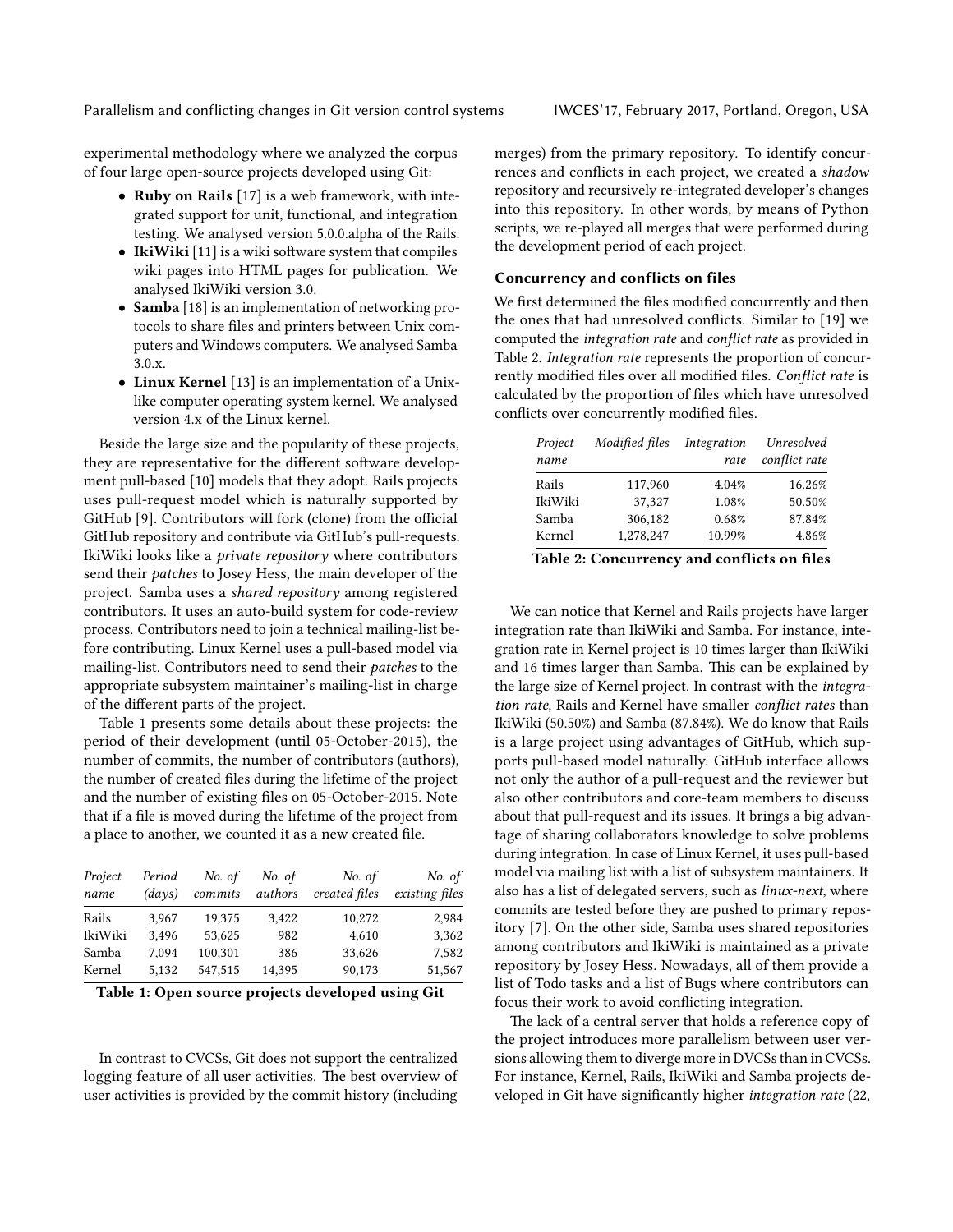experimental methodology where we analyzed the corpus of four large open-source projects developed using Git:

- Ruby on Rails [\[17\]](#page-5-11) is a web framework, with integrated support for unit, functional, and integration testing. We analysed version 5.0.0.alpha of the Rails.
- IkiWiki [\[11\]](#page-5-12) is a wiki software system that compiles wiki pages into HTML pages for publication. We analysed IkiWiki version 3.0.
- **Samba** [\[18\]](#page-5-13) is an implementation of networking protocols to share files and printers between Unix computers and Windows computers. We analysed Samba 3.0.x.
- Linux Kernel [\[13\]](#page-5-14) is an implementation of a Unixlike computer operating system kernel. We analysed version 4.x of the Linux kernel.

Beside the large size and the popularity of these projects, they are representative for the different software development pull-based [\[10\]](#page-5-15) models that they adopt. Rails projects uses pull-request model which is naturally supported by GitHub [\[9\]](#page-5-5). Contributors will fork (clone) from the official GitHub repository and contribute via GitHub's pull-requests. IkiWiki looks like a private repository where contributors send their patches to Josey Hess, the main developer of the project. Samba uses a shared repository among registered contributors. It uses an auto-build system for code-review process. Contributors need to join a technical mailing-list before contributing. Linux Kernel uses a pull-based model via mailing-list. Contributors need to send their patches to the appropriate subsystem maintainer's mailing-list in charge of the different parts of the project.

Table [1](#page-2-0) presents some details about these projects: the period of their development (until 05-October-2015), the number of commits, the number of contributors (authors), the number of created files during the lifetime of the project and the number of existing files on 05-October-2015. Note that if a file is moved during the lifetime of the project from a place to another, we counted it as a new created file.

<span id="page-2-0"></span>

| Project<br>name | Period<br>(days) | No. of<br>commits | No. of<br>authors | No. of<br>created files | No. of<br>existing files |
|-----------------|------------------|-------------------|-------------------|-------------------------|--------------------------|
| Rails           | 3.967            | 19.375            | 3,422             | 10,272                  | 2,984                    |
| IkiWiki         | 3.496            | 53,625            | 982               | 4,610                   | 3,362                    |
| Samba           | 7.094            | 100,301           | 386               | 33,626                  | 7,582                    |
| Kernel          | 5.132            | 547,515           | 14,395            | 90,173                  | 51,567                   |

Table 1: Open source projects developed using Git

In contrast to CVCSs, Git does not support the centralized logging feature of all user activities. The best overview of user activities is provided by the commit history (including

merges) from the primary repository. To identify concurrences and conflicts in each project, we created a shadow repository and recursively re-integrated developer's changes into this repository. In other words, by means of Python scripts, we re-played all merges that were performed during the development period of each project.

#### Concurrency and conflicts on files

We first determined the files modified concurrently and then the ones that had unresolved conflicts. Similar to [\[19\]](#page-5-9) we computed the integration rate and conflict rate as provided in Table [2.](#page-2-1) Integration rate represents the proportion of concurrently modified files over all modified files. Conflict rate is calculated by the proportion of files which have unresolved conflicts over concurrently modified files.

<span id="page-2-1"></span>

| Project<br>name | Modified files | Integration<br>rate | Unresolved<br>conflict rate |
|-----------------|----------------|---------------------|-----------------------------|
| Rails           | 117,960        | 4.04%               | 16.26%                      |
| IkiWiki         | 37.327         | 1.08%               | 50.50%                      |
| Samba           | 306.182        | 0.68%               | 87.84%                      |
| Kernel          | 1.278.247      | 10.99%              | 4.86%                       |

| Table 2: Concurrency and conflicts on files |  |  |  |  |
|---------------------------------------------|--|--|--|--|
|---------------------------------------------|--|--|--|--|

We can notice that Kernel and Rails projects have larger integration rate than IkiWiki and Samba. For instance, integration rate in Kernel project is 10 times larger than IkiWiki and 16 times larger than Samba. This can be explained by the large size of Kernel project. In contrast with the integration rate, Rails and Kernel have smaller conflict rates than IkiWiki (50.50%) and Samba (87.84%). We do know that Rails is a large project using advantages of GitHub, which supports pull-based model naturally. GitHub interface allows not only the author of a pull-request and the reviewer but also other contributors and core-team members to discuss about that pull-request and its issues. It brings a big advantage of sharing collaborators knowledge to solve problems during integration. In case of Linux Kernel, it uses pull-based model via mailing list with a list of subsystem maintainers. It also has a list of delegated servers, such as linux-next, where commits are tested before they are pushed to primary repository [\[7\]](#page-5-16). On the other side, Samba uses shared repositories among contributors and IkiWiki is maintained as a private repository by Josey Hess. Nowadays, all of them provide a list of Todo tasks and a list of Bugs where contributors can focus their work to avoid conflicting integration.

The lack of a central server that holds a reference copy of the project introduces more parallelism between user versions allowing them to diverge more in DVCSs than in CVCSs. For instance, Kernel, Rails, IkiWiki and Samba projects developed in Git have significantly higher integration rate (22,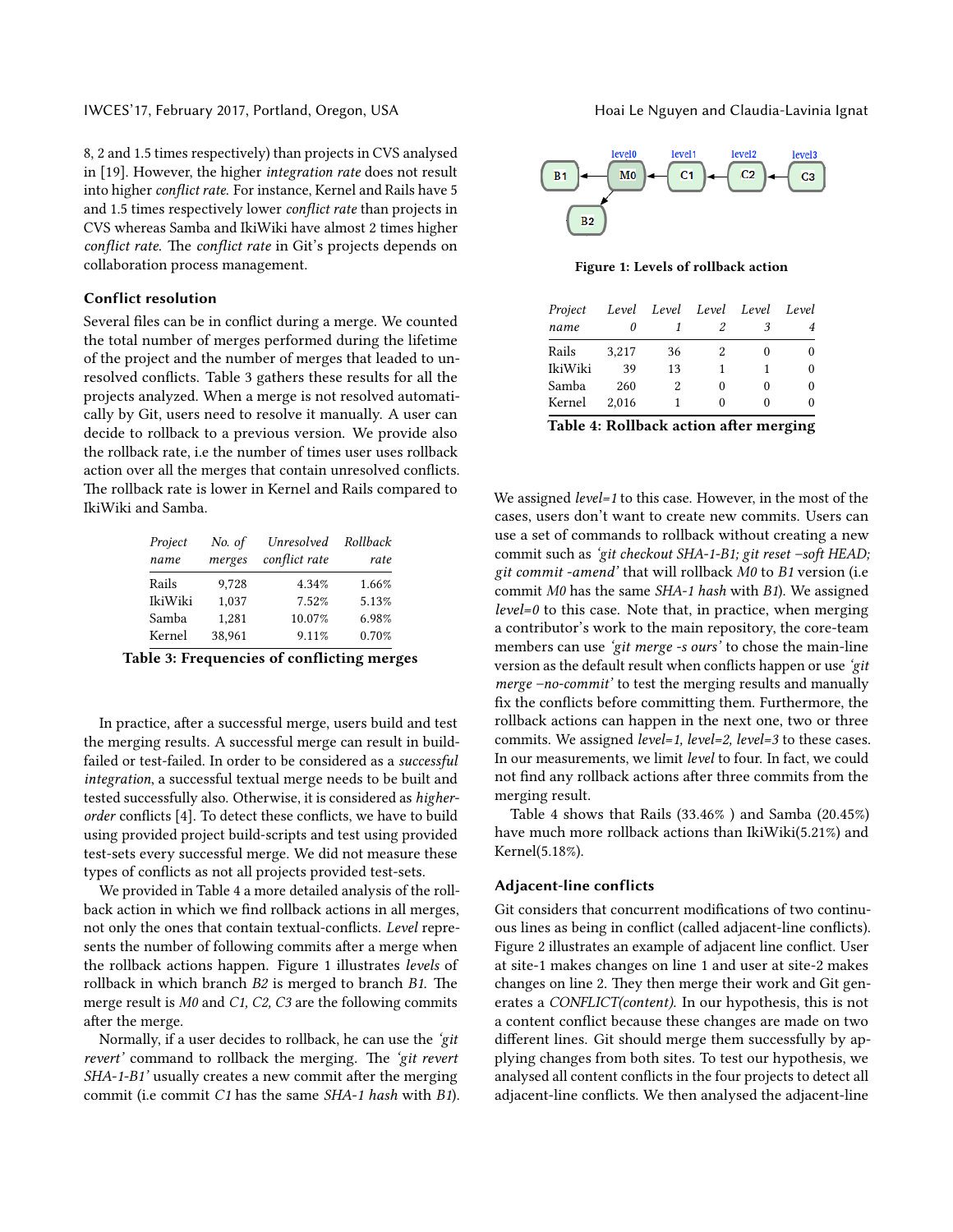IWCES'17, February 2017, Portland, Oregon, USA Hoai Le Nguyen and Claudia-Lavinia Ignat

8, 2 and 1.5 times respectively) than projects in CVS analysed in [\[19\]](#page-5-9). However, the higher integration rate does not result into higher conflict rate. For instance, Kernel and Rails have 5 and 1.5 times respectively lower *conflict rate* than projects in CVS whereas Samba and IkiWiki have almost 2 times higher conflict rate. The conflict rate in Git's projects depends on collaboration process management.

# Conflict resolution

Several files can be in conflict during a merge. We counted the total number of merges performed during the lifetime of the project and the number of merges that leaded to un-resolved conflicts. Table [3](#page-3-0) gathers these results for all the projects analyzed. When a merge is not resolved automatically by Git, users need to resolve it manually. A user can decide to rollback to a previous version. We provide also the rollback rate, i.e the number of times user uses rollback action over all the merges that contain unresolved conflicts. The rollback rate is lower in Kernel and Rails compared to IkiWiki and Samba.

<span id="page-3-0"></span>

| Project | No. of | Unresolved    | Rollback |
|---------|--------|---------------|----------|
| name    | merges | conflict rate | rate     |
| Rails   | 9,728  | 4.34%         | 1.66%    |
| IkiWiki | 1.037  | 7.52%         | 5.13%    |
| Samba   | 1.281  | 10.07%        | 6.98%    |
| Kernel  | 38.961 | 9.11%         | 0.70%    |

Table 3: Frequencies of conflicting merges

In practice, after a successful merge, users build and test the merging results. A successful merge can result in buildfailed or test-failed. In order to be considered as a successful integration, a successful textual merge needs to be built and tested successfully also. Otherwise, it is considered as higher-order conflicts [\[4\]](#page-5-10). To detect these conflicts, we have to build using provided project build-scripts and test using provided test-sets every successful merge. We did not measure these types of conflicts as not all projects provided test-sets.

We provided in Table [4](#page-3-1) a more detailed analysis of the rollback action in which we find rollback actions in all merges, not only the ones that contain textual-conflicts. Level represents the number of following commits after a merge when the rollback actions happen. Figure [1](#page-3-2) illustrates levels of rollback in which branch  $B2$  is merged to branch  $B1$ . The merge result is M0 and C1, C2, C3 are the following commits after the merge.

Normally, if a user decides to rollback, he can use the 'git revert' command to rollback the merging. The 'git revert  $SHA-1-B1'$  usually creates a new commit after the merging commit (i.e commit C1 has the same SHA-1 hash with B1).

<span id="page-3-2"></span>

Figure 1: Levels of rollback action

<span id="page-3-1"></span>

| Project |       |                | Level Level Level Level Level |                          |   |
|---------|-------|----------------|-------------------------------|--------------------------|---|
| name    |       |                |                               |                          | 4 |
| Rails   | 3,217 | 36             | 2                             | $_{0}$                   | 0 |
| IkiWiki | 39    | 13             |                               |                          | 0 |
| Samba   | 260   | $\mathfrak{D}$ | 0                             | 0                        | 0 |
| Kernel  | 2.016 |                | $_{0}$                        | $\theta$                 | 0 |
|         |       |                |                               | $\overline{\phantom{a}}$ |   |

Table 4: Rollback action after merging

We assigned level=1 to this case. However, in the most of the cases, users don't want to create new commits. Users can use a set of commands to rollback without creating a new commit such as 'git checkout SHA-1-B1; git reset -soft HEAD; git commit -amend' that will rollback M0 to B1 version (i.e commit M0 has the same SHA-1 hash with B1). We assigned  $level=0$  to this case. Note that, in practice, when merging a contributor's work to the main repository, the core-team members can use 'git merge -s ours' to chose the main-line version as the default result when conflicts happen or use 'git merge –no-commit' to test the merging results and manually fix the conflicts before committing them. Furthermore, the rollback actions can happen in the next one, two or three commits. We assigned level=1, level=2, level=3 to these cases. In our measurements, we limit level to four. In fact, we could not find any rollback actions after three commits from the merging result.

Table [4](#page-3-1) shows that Rails (33.46% ) and Samba (20.45%) have much more rollback actions than IkiWiki(5.21%) and Kernel(5.18%).

#### Adjacent-line conflicts

Git considers that concurrent modifications of two continuous lines as being in conflict (called adjacent-line conflicts). Figure [2](#page-4-0) illustrates an example of adjacent line conflict. User at site-1 makes changes on line 1 and user at site-2 makes changes on line 2. They then merge their work and Git generates a CONFLICT(content). In our hypothesis, this is not a content conflict because these changes are made on two different lines. Git should merge them successfully by applying changes from both sites. To test our hypothesis, we analysed all content conflicts in the four projects to detect all adjacent-line conflicts. We then analysed the adjacent-line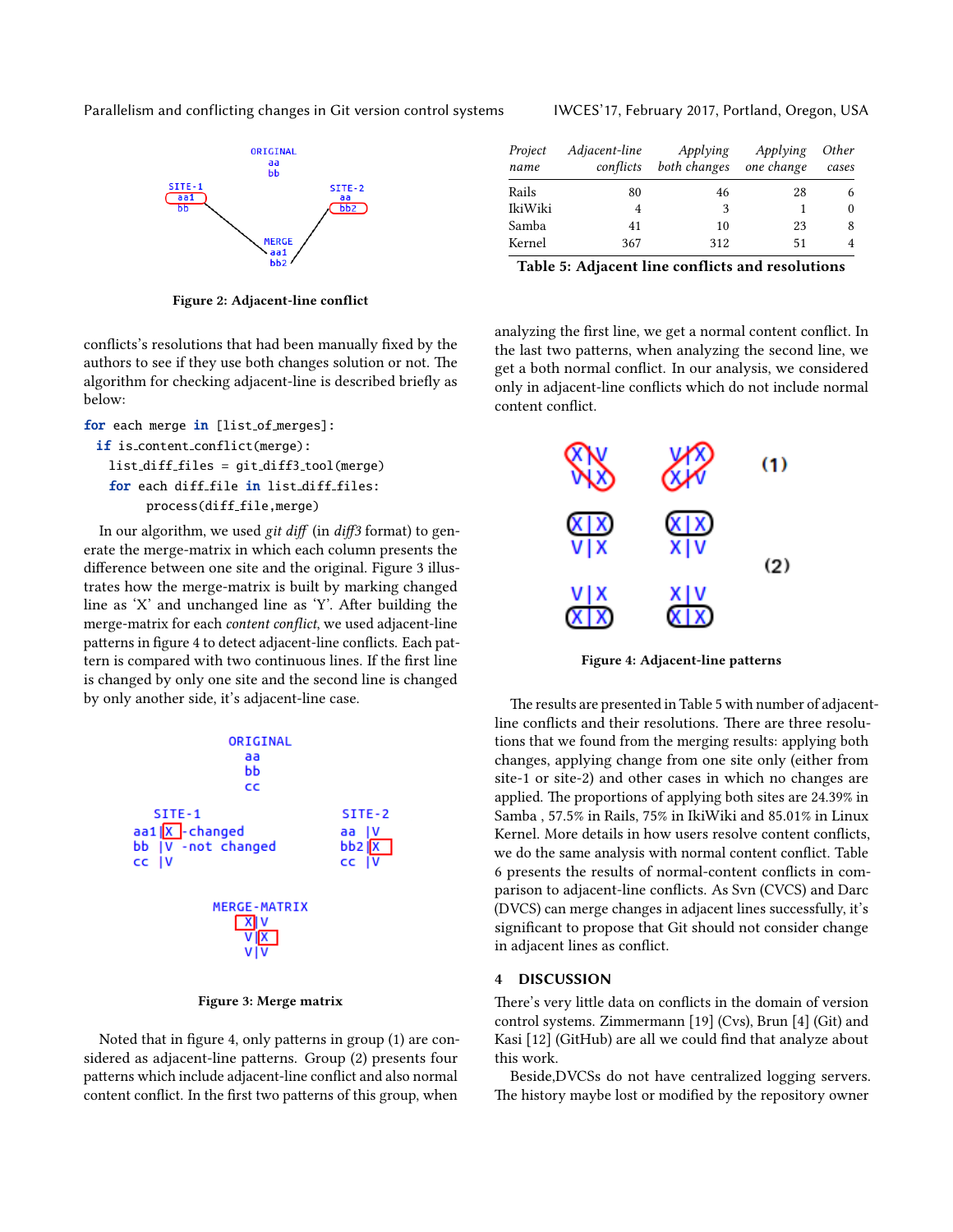<span id="page-4-0"></span>Parallelism and conflicting changes in Git version control systems IWCES'17, February 2017, Portland, Oregon, USA



Figure 2: Adjacent-line conflict

conflicts's resolutions that had been manually fixed by the authors to see if they use both changes solution or not. The algorithm for checking adjacent-line is described briefly as below:

```
for each merge in [list_of_merges]:
if is content conflict(merge):
```

```
list diff files = git diff3 tool(merge)
```

```
for each diff file in list diff files:
```

```
process(diff_file,merge)
```
In our algorithm, we used git diff (in diff3 format) to generate the merge-matrix in which each column presents the difference between one site and the original. Figure [3](#page-4-1) illustrates how the merge-matrix is built by marking changed line as 'X' and unchanged line as 'Y'. After building the merge-matrix for each *content conflict*, we used adjacent-line patterns in figure [4](#page-4-2) to detect adjacent-line conflicts. Each pattern is compared with two continuous lines. If the first line is changed by only one site and the second line is changed by only another side, it's adjacent-line case.

<span id="page-4-1"></span>

Figure 3: Merge matrix

Noted that in figure [4,](#page-4-2) only patterns in group  $(1)$  are considered as adjacent-line patterns. Group (2) presents four patterns which include adjacent-line conflict and also normal content conflict. In the first two patterns of this group, when

<span id="page-4-3"></span>

| Project<br>name | Adjacent-line<br>conflicts | Applying<br>both changes | Applying<br>one change | <i>Other</i><br>cases |
|-----------------|----------------------------|--------------------------|------------------------|-----------------------|
| Rails           | 80                         | 46                       | 28                     |                       |
| IkiWiki         |                            | 3                        |                        |                       |
| Samba           | 41                         | 10                       | 23                     |                       |

Kernel 367 312 51 4 Table 5: Adjacent line conflicts and resolutions

analyzing the first line, we get a normal content conflict. In the last two patterns, when analyzing the second line, we get a both normal conflict. In our analysis, we considered only in adjacent-line conflicts which do not include normal content conflict.

<span id="page-4-2"></span>

Figure 4: Adjacent-line patterns

The results are presented in Table [5](#page-4-3) with number of adjacentline conflicts and their resolutions. There are three resolutions that we found from the merging results: applying both changes, applying change from one site only (either from site-1 or site-2) and other cases in which no changes are applied. The proportions of applying both sites are 24.39% in Samba , 57.5% in Rails, 75% in IkiWiki and 85.01% in Linux Kernel. More details in how users resolve content conflicts, we do the same analysis with normal content conflict. Table [6](#page-5-17) presents the results of normal-content conflicts in comparison to adjacent-line conflicts. As Svn (CVCS) and Darc (DVCS) can merge changes in adjacent lines successfully, it's significant to propose that Git should not consider change in adjacent lines as conflict.

### 4 DISCUSSION

There's very little data on conflicts in the domain of version control systems. Zimmermann [\[19\]](#page-5-9) (Cvs), Brun [\[4\]](#page-5-10) (Git) and Kasi [\[12\]](#page-5-18) (GitHub) are all we could find that analyze about this work.

Beside,DVCSs do not have centralized logging servers. The history maybe lost or modified by the repository owner